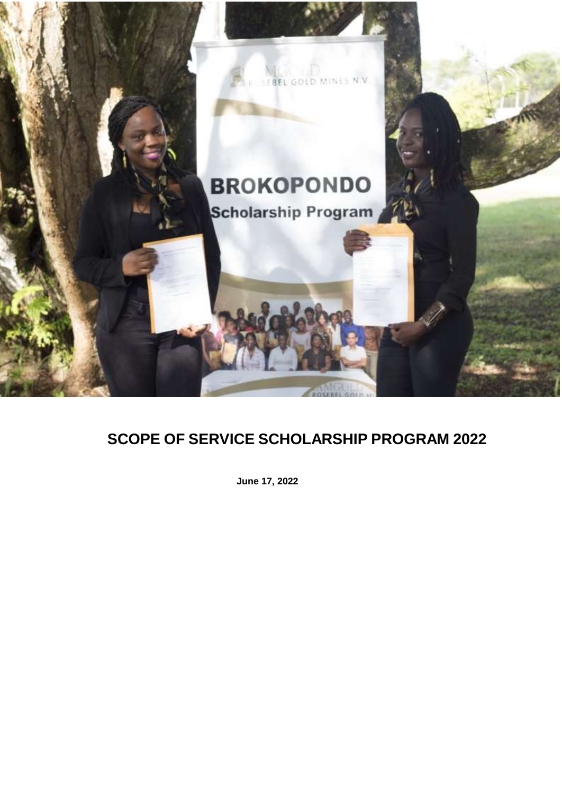

# **SCOPE OF SERVICE SCHOLARSHIP PROGRAM 2022**

**June 17, 2022**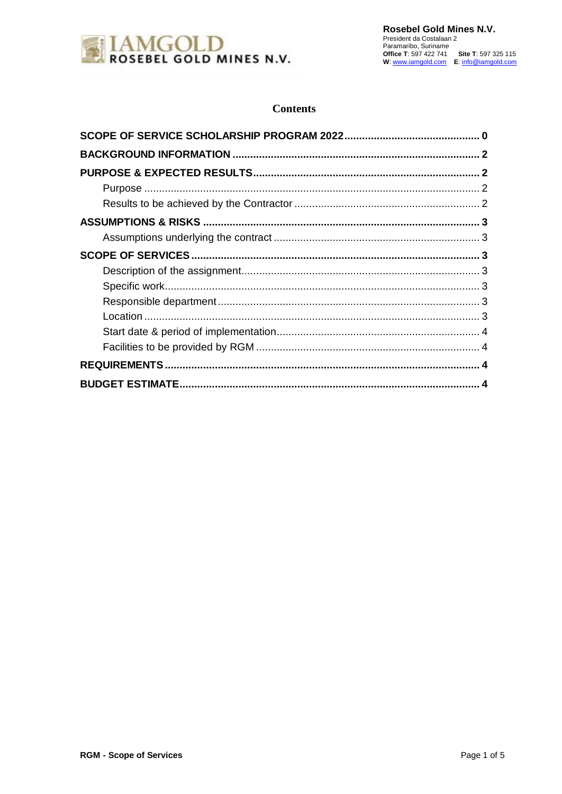

### **Contents**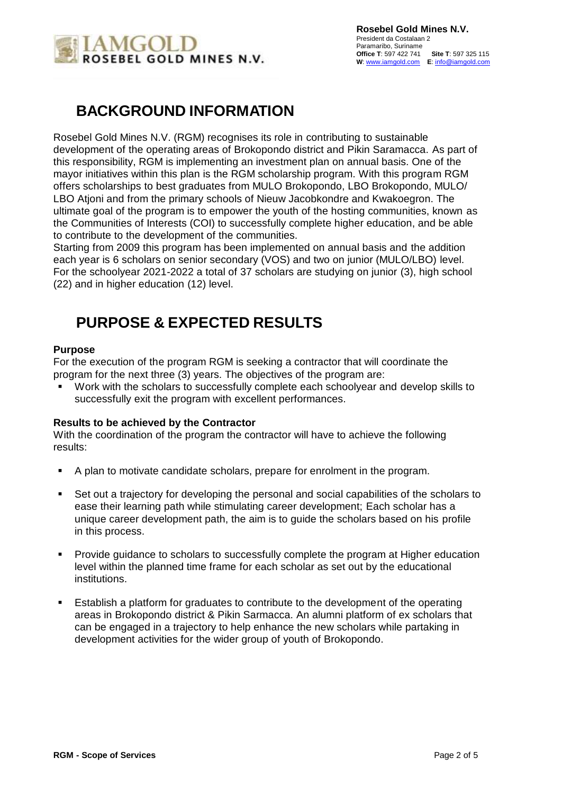

### <span id="page-2-0"></span>**BACKGROUND INFORMATION**

Rosebel Gold Mines N.V. (RGM) recognises its role in contributing to sustainable development of the operating areas of Brokopondo district and Pikin Saramacca. As part of this responsibility, RGM is implementing an investment plan on annual basis. One of the mayor initiatives within this plan is the RGM scholarship program. With this program RGM offers scholarships to best graduates from MULO Brokopondo, LBO Brokopondo, MULO/ LBO Atjoni and from the primary schools of Nieuw Jacobkondre and Kwakoegron. The ultimate goal of the program is to empower the youth of the hosting communities, known as the Communities of Interests (COI) to successfully complete higher education, and be able to contribute to the development of the communities.

Starting from 2009 this program has been implemented on annual basis and the addition each year is 6 scholars on senior secondary (VOS) and two on junior (MULO/LBO) level. For the schoolyear 2021-2022 a total of 37 scholars are studying on junior (3), high school (22) and in higher education (12) level.

### <span id="page-2-1"></span>**PURPOSE & EXPECTED RESULTS**

#### <span id="page-2-2"></span>**Purpose**

For the execution of the program RGM is seeking a contractor that will coordinate the program for the next three (3) years. The objectives of the program are:

 Work with the scholars to successfully complete each schoolyear and develop skills to successfully exit the program with excellent performances.

#### <span id="page-2-3"></span>**Results to be achieved by the Contractor**

With the coordination of the program the contractor will have to achieve the following results:

- A plan to motivate candidate scholars, prepare for enrolment in the program.
- Set out a trajectory for developing the personal and social capabilities of the scholars to ease their learning path while stimulating career development; Each scholar has a unique career development path, the aim is to guide the scholars based on his profile in this process.
- **Provide guidance to scholars to successfully complete the program at Higher education** level within the planned time frame for each scholar as set out by the educational institutions.
- **Establish a platform for graduates to contribute to the development of the operating** areas in Brokopondo district & Pikin Sarmacca. An alumni platform of ex scholars that can be engaged in a trajectory to help enhance the new scholars while partaking in development activities for the wider group of youth of Brokopondo.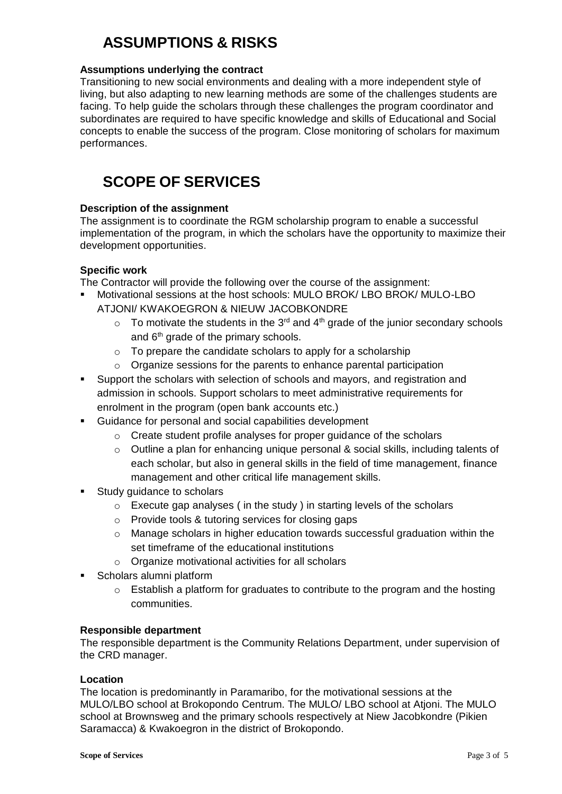## <span id="page-3-0"></span>**ASSUMPTIONS & RISKS**

#### <span id="page-3-1"></span>**Assumptions underlying the contract**

Transitioning to new social environments and dealing with a more independent style of living, but also adapting to new learning methods are some of the challenges students are facing. To help guide the scholars through these challenges the program coordinator and subordinates are required to have specific knowledge and skills of Educational and Social concepts to enable the success of the program. Close monitoring of scholars for maximum performances.

### <span id="page-3-2"></span>**SCOPE OF SERVICES**

#### <span id="page-3-3"></span>**Description of the assignment**

The assignment is to coordinate the RGM scholarship program to enable a successful implementation of the program, in which the scholars have the opportunity to maximize their development opportunities.

### <span id="page-3-4"></span>**Specific work**

The Contractor will provide the following over the course of the assignment:

- Motivational sessions at the host schools: MULO BROK/ LBO BROK/ MULO-LBO ATJONI/ KWAKOEGRON & NIEUW JACOBKONDRE
	- $\circ$  To motivate the students in the 3<sup>rd</sup> and 4<sup>th</sup> grade of the junior secondary schools and  $6<sup>th</sup>$  grade of the primary schools.
	- o To prepare the candidate scholars to apply for a scholarship
	- o Organize sessions for the parents to enhance parental participation
- Support the scholars with selection of schools and mayors, and registration and admission in schools. Support scholars to meet administrative requirements for enrolment in the program (open bank accounts etc.)
- Guidance for personal and social capabilities development
	- o Create student profile analyses for proper guidance of the scholars
	- $\circ$  Outline a plan for enhancing unique personal & social skills, including talents of each scholar, but also in general skills in the field of time management, finance management and other critical life management skills.
- Study guidance to scholars
	- $\circ$  Execute gap analyses (in the study) in starting levels of the scholars
	- o Provide tools & tutoring services for closing gaps
	- $\circ$  Manage scholars in higher education towards successful graduation within the set timeframe of the educational institutions
	- o Organize motivational activities for all scholars
- Scholars alumni platform
	- $\circ$  Establish a platform for graduates to contribute to the program and the hosting communities.

#### <span id="page-3-5"></span>**Responsible department**

The responsible department is the Community Relations Department, under supervision of the CRD manager.

#### <span id="page-3-6"></span>**Location**

The location is predominantly in Paramaribo, for the motivational sessions at the MULO/LBO school at Brokopondo Centrum. The MULO/ LBO school at Atjoni. The MULO school at Brownsweg and the primary schools respectively at Niew Jacobkondre (Pikien Saramacca) & Kwakoegron in the district of Brokopondo.